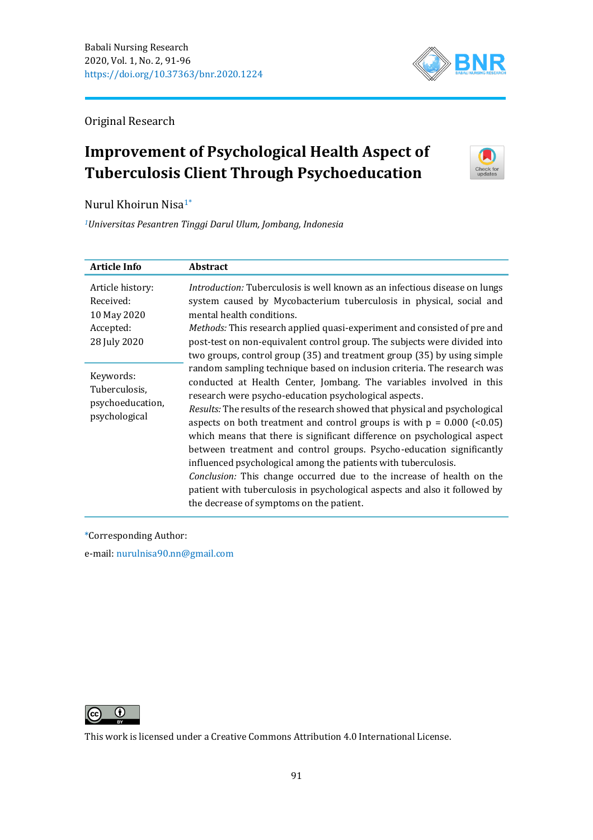

Original Research

# **Improvement of Psychological Health Aspect of Tuberculosis Client Through Psychoeducation**



Nurul Khoirun Nisa1\*

*<sup>1</sup>Universitas Pesantren Tinggi Darul Ulum, Jombang, Indonesia*

| <b>Article Info</b>                                                       | <b>Abstract</b>                                                                                                                                                                                                                                                                                                                                                                                                                                                                                                                                                                                                                                                                                                                                                                             |
|---------------------------------------------------------------------------|---------------------------------------------------------------------------------------------------------------------------------------------------------------------------------------------------------------------------------------------------------------------------------------------------------------------------------------------------------------------------------------------------------------------------------------------------------------------------------------------------------------------------------------------------------------------------------------------------------------------------------------------------------------------------------------------------------------------------------------------------------------------------------------------|
| Article history:<br>Received:<br>10 May 2020<br>Accepted:<br>28 July 2020 | Introduction: Tuberculosis is well known as an infectious disease on lungs<br>system caused by Mycobacterium tuberculosis in physical, social and<br>mental health conditions.<br>Methods: This research applied quasi-experiment and consisted of pre and<br>post-test on non-equivalent control group. The subjects were divided into<br>two groups, control group (35) and treatment group (35) by using simple                                                                                                                                                                                                                                                                                                                                                                          |
| Keywords:<br>Tuberculosis,<br>psychoeducation,<br>psychological           | random sampling technique based on inclusion criteria. The research was<br>conducted at Health Center, Jombang. The variables involved in this<br>research were psycho-education psychological aspects.<br>Results: The results of the research showed that physical and psychological<br>aspects on both treatment and control groups is with $p = 0.000$ (<0.05)<br>which means that there is significant difference on psychological aspect<br>between treatment and control groups. Psycho-education significantly<br>influenced psychological among the patients with tuberculosis.<br>Conclusion: This change occurred due to the increase of health on the<br>patient with tuberculosis in psychological aspects and also it followed by<br>the decrease of symptoms on the patient. |

\*Corresponding Author:

e-mail: [nurulnisa90.nn@gmail.com](mailto:nurulnisa90.nn@gmail.com)



This work is licensed under a [Creative Commons Attribution 4.0 International License.](https://creativecommons.org/licenses/by/4.0/)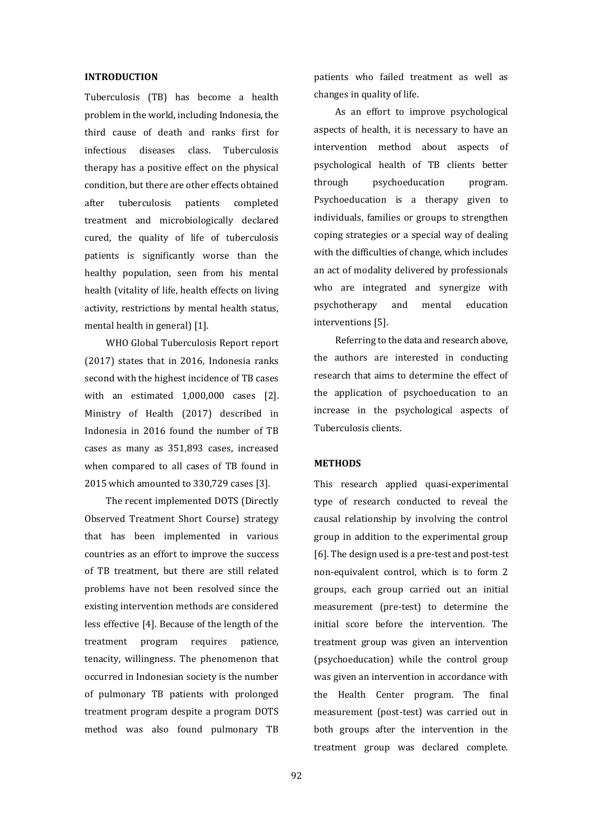#### **INTRODUCTION**

Tuberculosis (TB) has become a health problem in the world, including Indonesia, the third cause of death and ranks first for infectious diseases class. Tuberculosis therapy has a positive effect on the physical condition, but there are other effects obtained after tuberculosis patients completed treatment and microbiologically declared cured, the quality of life of tuberculosis patients is significantly worse than the healthy population, seen from his mental health (vitality of life, health effects on living activity, restrictions by mental health status, mental health in general) [1].

WHO Global Tuberculosis Report report (2017) states that in 2016, Indonesia ranks second with the highest incidence of TB cases with an estimated 1,000,000 cases [2]. Ministry of Health (2017) described in Indonesia in 2016 found the number of TB cases as many as 351,893 cases, increased when compared to all cases of TB found in 2015 which amounted to 330,729 cases [3].

The recent implemented DOTS (Directly Observed Treatment Short Course) strategy that has been implemented in various countries as an effort to improve the success of TB treatment, but there are still related problems have not been resolved since the existing intervention methods are considered less effective [4]. Because of the length of the treatment program requires patience, tenacity, willingness. The phenomenon that occurred in Indonesian society is the number of pulmonary TB patients with prolonged treatment program despite a program DOTS method was also found pulmonary TB patients who failed treatment as well as changes in quality of life.

As an effort to improve psychological aspects of health, it is necessary to have an intervention method about aspects of psychological health of TB clients better through psychoeducation program. Psychoeducation is a therapy given to individuals, families or groups to strengthen coping strategies or a special way of dealing with the difficulties of change, which includes an act of modality delivered by professionals who are integrated and synergize with psychotherapy and mental education interventions [5].

Referring to the data and research above, the authors are interested in conducting research that aims to determine the effect of the application of psychoeducation to an increase in the psychological aspects of Tuberculosis clients.

# **METHODS**

This research applied quasi-experimental type of research conducted to reveal the causal relationship by involving the control group in addition to the experimental group [6]. The design used is a pre-test and post-test non-equivalent control, which is to form 2 groups, each group carried out an initial measurement (pre-test) to determine the initial score before the intervention. The treatment group was given an intervention (psychoeducation) while the control group was given an intervention in accordance with the Health Center program. The final measurement (post-test) was carried out in both groups after the intervention in the treatment group was declared complete.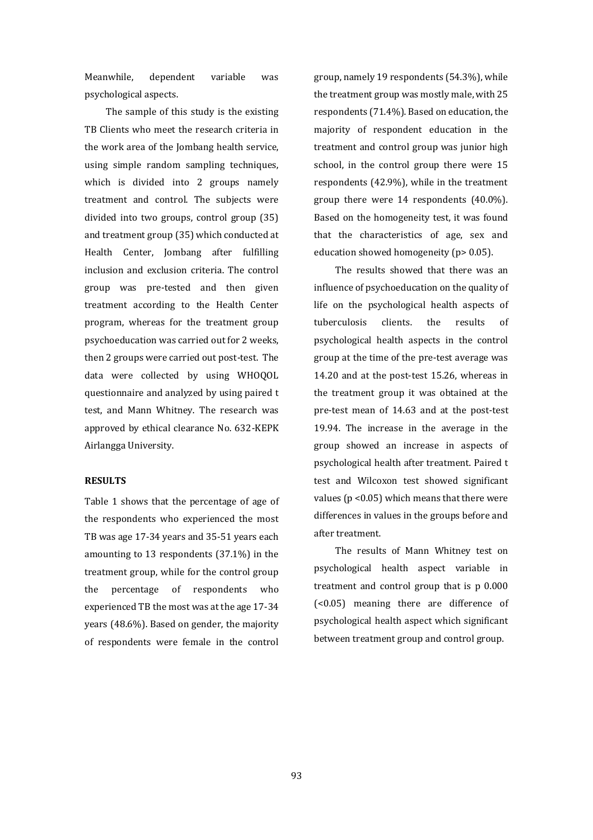Meanwhile, dependent variable was psychological aspects.

The sample of this study is the existing TB Clients who meet the research criteria in the work area of the Jombang health service, using simple random sampling techniques, which is divided into 2 groups namely treatment and control. The subjects were divided into two groups, control group (35) and treatment group (35) which conducted at Health Center, Jombang after fulfilling inclusion and exclusion criteria. The control group was pre-tested and then given treatment according to the Health Center program, whereas for the treatment group psychoeducation was carried out for 2 weeks, then 2 groups were carried out post-test. The data were collected by using WHOQOL questionnaire and analyzed by using paired t test, and Mann Whitney. The research was approved by ethical clearance No. 632-KEPK Airlangga University.

#### **RESULTS**

Table 1 shows that the percentage of age of the respondents who experienced the most TB was age 17-34 years and 35-51 years each amounting to 13 respondents (37.1%) in the treatment group, while for the control group the percentage of respondents who experienced TB the most was at the age 17-34 years (48.6%). Based on gender, the majority of respondents were female in the control group, namely 19 respondents (54.3%), while the treatment group was mostly male, with 25 respondents (71.4%). Based on education, the majority of respondent education in the treatment and control group was junior high school, in the control group there were 15 respondents (42.9%), while in the treatment group there were 14 respondents (40.0%). Based on the homogeneity test, it was found that the characteristics of age, sex and education showed homogeneity (p> 0.05).

The results showed that there was an influence of psychoeducation on the quality of life on the psychological health aspects of tuberculosis clients. the results of psychological health aspects in the control group at the time of the pre-test average was 14.20 and at the post-test 15.26, whereas in the treatment group it was obtained at the pre-test mean of 14.63 and at the post-test 19.94. The increase in the average in the group showed an increase in aspects of psychological health after treatment. Paired t test and Wilcoxon test showed significant values (p <0.05) which means that there were differences in values in the groups before and after treatment.

The results of Mann Whitney test on psychological health aspect variable in treatment and control group that is p 0.000 (<0.05) meaning there are difference of psychological health aspect which significant between treatment group and control group.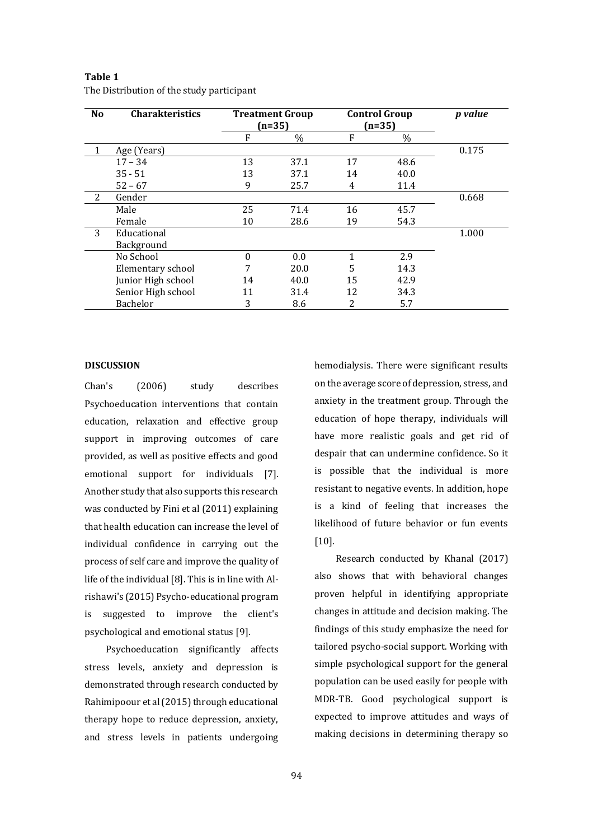| N <sub>0</sub> | <b>Charakteristics</b> | <b>Treatment Group</b><br>(n=35) |      | <b>Control Group</b><br>$(n=35)$ |      | <i>p</i> value |
|----------------|------------------------|----------------------------------|------|----------------------------------|------|----------------|
|                |                        | F                                | $\%$ | F                                | $\%$ |                |
| 1              | Age (Years)            |                                  |      |                                  |      | 0.175          |
|                | $17 - 34$              | 13                               | 37.1 | 17                               | 48.6 |                |
|                | $35 - 51$              | 13                               | 37.1 | 14                               | 40.0 |                |
|                | $52 - 67$              | 9                                | 25.7 | 4                                | 11.4 |                |
| 2              | Gender                 |                                  |      |                                  |      | 0.668          |
|                | Male                   | 25                               | 71.4 | 16                               | 45.7 |                |
|                | Female                 | 10                               | 28.6 | 19                               | 54.3 |                |
| 3              | Educational            |                                  |      |                                  |      | 1.000          |
|                | Background             |                                  |      |                                  |      |                |
|                | No School              | $\theta$                         | 0.0  |                                  | 2.9  |                |
|                | Elementary school      |                                  | 20.0 | 5                                | 14.3 |                |
|                | Junior High school     | 14                               | 40.0 | 15                               | 42.9 |                |
|                | Senior High school     | 11                               | 31.4 | 12                               | 34.3 |                |
|                | Bachelor               | 3                                | 8.6  | 2                                | 5.7  |                |

| Table 1                                   |
|-------------------------------------------|
| The Distribution of the study participant |

#### **DISCUSSION**

Chan's (2006) study describes Psychoeducation interventions that contain education, relaxation and effective group support in improving outcomes of care provided, as well as positive effects and good emotional support for individuals [7]. Another study that also supports this research was conducted by Fini et al (2011) explaining that health education can increase the level of individual confidence in carrying out the process of self care and improve the quality of life of the individual [8]. This is in line with Alrishawi's (2015) Psycho-educational program is suggested to improve the client's psychological and emotional status [9].

Psychoeducation significantly affects stress levels, anxiety and depression is demonstrated through research conducted by Rahimipoour et al (2015) through educational therapy hope to reduce depression, anxiety, and stress levels in patients undergoing hemodialysis. There were significant results on the average score of depression, stress, and anxiety in the treatment group. Through the education of hope therapy, individuals will have more realistic goals and get rid of despair that can undermine confidence. So it is possible that the individual is more resistant to negative events. In addition, hope is a kind of feeling that increases the likelihood of future behavior or fun events [10].

Research conducted by Khanal (2017) also shows that with behavioral changes proven helpful in identifying appropriate changes in attitude and decision making. The findings of this study emphasize the need for tailored psycho-social support. Working with simple psychological support for the general population can be used easily for people with MDR-TB. Good psychological support is expected to improve attitudes and ways of making decisions in determining therapy so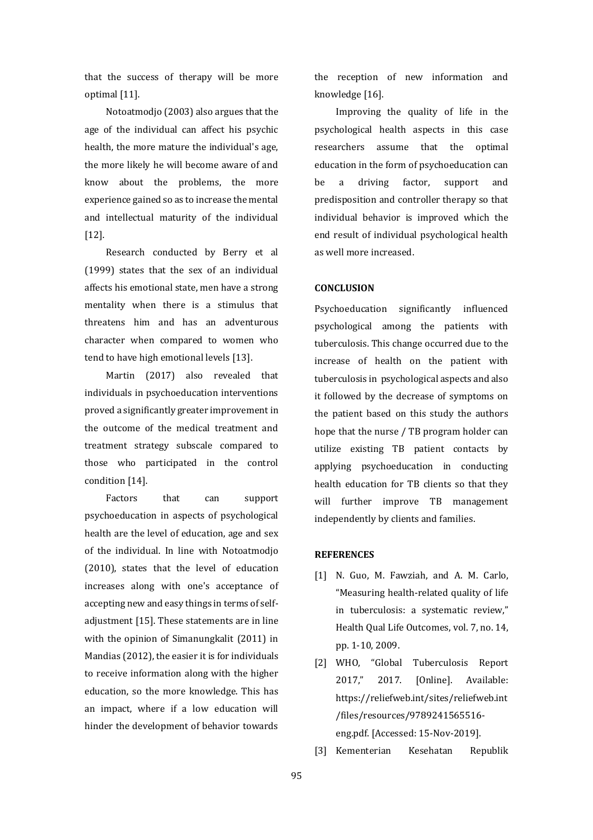that the success of therapy will be more optimal [11].

Notoatmodjo (2003) also argues that the age of the individual can affect his psychic health, the more mature the individual's age, the more likely he will become aware of and know about the problems, the more experience gained so as to increase the mental and intellectual maturity of the individual [12].

Research conducted by Berry et al (1999) states that the sex of an individual affects his emotional state, men have a strong mentality when there is a stimulus that threatens him and has an adventurous character when compared to women who tend to have high emotional levels [13].

Martin (2017) also revealed that individuals in psychoeducation interventions proved a significantly greater improvement in the outcome of the medical treatment and treatment strategy subscale compared to those who participated in the control condition [14].

Factors that can support psychoeducation in aspects of psychological health are the level of education, age and sex of the individual. In line with Notoatmodjo (2010), states that the level of education increases along with one's acceptance of accepting new and easy things in terms of selfadjustment [15]. These statements are in line with the opinion of Simanungkalit (2011) in Mandias (2012), the easier it is for individuals to receive information along with the higher education, so the more knowledge. This has an impact, where if a low education will hinder the development of behavior towards

the reception of new information and knowledge [16].

Improving the quality of life in the psychological health aspects in this case researchers assume that the optimal education in the form of psychoeducation can be a driving factor, support and predisposition and controller therapy so that individual behavior is improved which the end result of individual psychological health as well more increased.

## **CONCLUSION**

Psychoeducation significantly influenced psychological among the patients with tuberculosis. This change occurred due to the increase of health on the patient with tuberculosis in psychological aspects and also it followed by the decrease of symptoms on the patient based on this study the authors hope that the nurse / TB program holder can utilize existing TB patient contacts by applying psychoeducation in conducting health education for TB clients so that they will further improve TB management independently by clients and families.

## **REFERENCES**

- [1] N. Guo, M. Fawziah, and A. M. Carlo, "Measuring health-related quality of life in tuberculosis: a systematic review," Health Qual Life Outcomes, vol. 7, no. 14, pp. 1-10, 2009.
- [2] WHO, "Global Tuberculosis Report 2017," 2017. [Online]. Available: https://reliefweb.int/sites/reliefweb.int /files/resources/9789241565516 eng.pdf. [Accessed: 15-Nov-2019].
- [3] Kementerian Kesehatan Republik